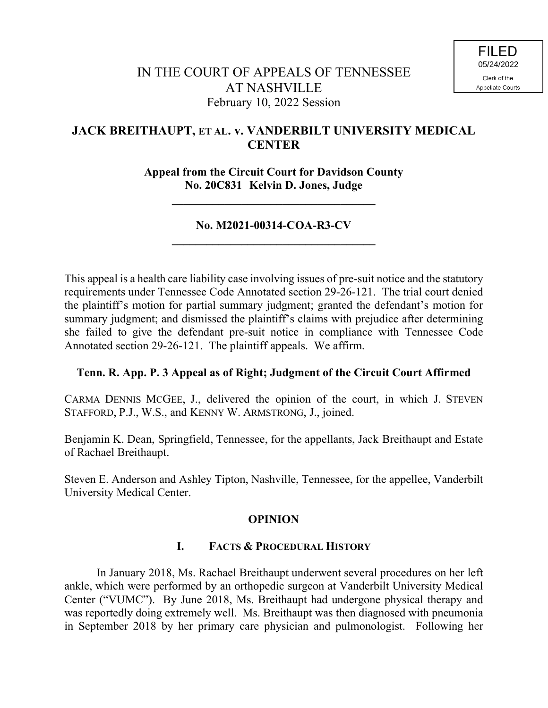# **JACK BREITHAUPT, ET AL. v. VANDERBILT UNIVERSITY MEDICAL CENTER**

**Appeal from the Circuit Court for Davidson County No. 20C831 Kelvin D. Jones, Judge**

**\_\_\_\_\_\_\_\_\_\_\_\_\_\_\_\_\_\_\_\_\_\_\_\_\_\_\_\_\_\_\_\_\_\_\_**

## **No. M2021-00314-COA-R3-CV \_\_\_\_\_\_\_\_\_\_\_\_\_\_\_\_\_\_\_\_\_\_\_\_\_\_\_\_\_\_\_\_\_\_\_**

This appeal is a health care liability case involving issues of pre-suit notice and the statutory requirements under Tennessee Code Annotated section 29-26-121. The trial court denied the plaintiff's motion for partial summary judgment; granted the defendant's motion for summary judgment; and dismissed the plaintiff's claims with prejudice after determining she failed to give the defendant pre-suit notice in compliance with Tennessee Code Annotated section 29-26-121. The plaintiff appeals. We affirm.

## **Tenn. R. App. P. 3 Appeal as of Right; Judgment of the Circuit Court Affirmed**

CARMA DENNIS MCGEE, J., delivered the opinion of the court, in which J. STEVEN STAFFORD, P.J., W.S., and KENNY W. ARMSTRONG, J., joined.

Benjamin K. Dean, Springfield, Tennessee, for the appellants, Jack Breithaupt and Estate of Rachael Breithaupt.

Steven E. Anderson and Ashley Tipton, Nashville, Tennessee, for the appellee, Vanderbilt University Medical Center.

## **OPINION**

# **I. FACTS & PROCEDURAL HISTORY**

In January 2018, Ms. Rachael Breithaupt underwent several procedures on her left ankle, which were performed by an orthopedic surgeon at Vanderbilt University Medical Center ("VUMC"). By June 2018, Ms. Breithaupt had undergone physical therapy and was reportedly doing extremely well. Ms. Breithaupt was then diagnosed with pneumonia in September 2018 by her primary care physician and pulmonologist. Following her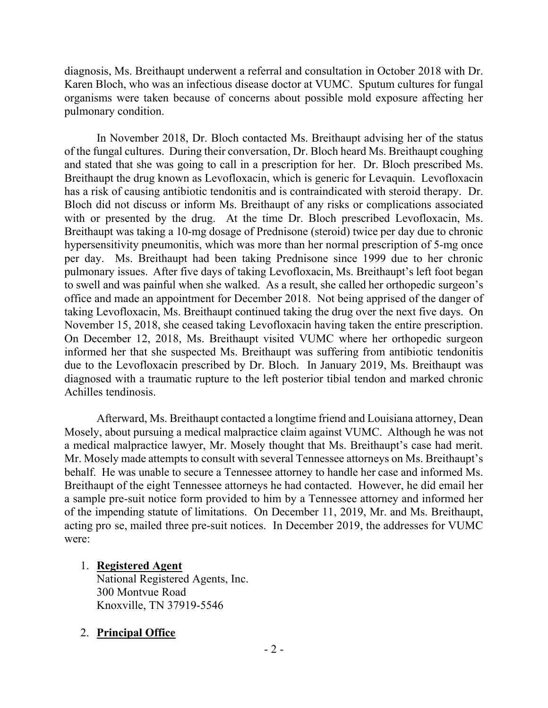diagnosis, Ms. Breithaupt underwent a referral and consultation in October 2018 with Dr. Karen Bloch, who was an infectious disease doctor at VUMC. Sputum cultures for fungal organisms were taken because of concerns about possible mold exposure affecting her pulmonary condition.

In November 2018, Dr. Bloch contacted Ms. Breithaupt advising her of the status of the fungal cultures. During their conversation, Dr. Bloch heard Ms. Breithaupt coughing and stated that she was going to call in a prescription for her. Dr. Bloch prescribed Ms. Breithaupt the drug known as Levofloxacin, which is generic for Levaquin. Levofloxacin has a risk of causing antibiotic tendonitis and is contraindicated with steroid therapy. Dr. Bloch did not discuss or inform Ms. Breithaupt of any risks or complications associated with or presented by the drug. At the time Dr. Bloch prescribed Levofloxacin, Ms. Breithaupt was taking a 10-mg dosage of Prednisone (steroid) twice per day due to chronic hypersensitivity pneumonitis, which was more than her normal prescription of 5-mg once per day. Ms. Breithaupt had been taking Prednisone since 1999 due to her chronic pulmonary issues. After five days of taking Levofloxacin, Ms. Breithaupt's left foot began to swell and was painful when she walked. As a result, she called her orthopedic surgeon's office and made an appointment for December 2018. Not being apprised of the danger of taking Levofloxacin, Ms. Breithaupt continued taking the drug over the next five days. On November 15, 2018, she ceased taking Levofloxacin having taken the entire prescription. On December 12, 2018, Ms. Breithaupt visited VUMC where her orthopedic surgeon informed her that she suspected Ms. Breithaupt was suffering from antibiotic tendonitis due to the Levofloxacin prescribed by Dr. Bloch. In January 2019, Ms. Breithaupt was diagnosed with a traumatic rupture to the left posterior tibial tendon and marked chronic Achilles tendinosis.

Afterward, Ms. Breithaupt contacted a longtime friend and Louisiana attorney, Dean Mosely, about pursuing a medical malpractice claim against VUMC. Although he was not a medical malpractice lawyer, Mr. Mosely thought that Ms. Breithaupt's case had merit. Mr. Mosely made attempts to consult with several Tennessee attorneys on Ms. Breithaupt's behalf. He was unable to secure a Tennessee attorney to handle her case and informed Ms. Breithaupt of the eight Tennessee attorneys he had contacted. However, he did email her a sample pre-suit notice form provided to him by a Tennessee attorney and informed her of the impending statute of limitations. On December 11, 2019, Mr. and Ms. Breithaupt, acting pro se, mailed three pre-suit notices. In December 2019, the addresses for VUMC were:

## 1. **Registered Agent**

National Registered Agents, Inc. 300 Montvue Road Knoxville, TN 37919-5546

## 2. **Principal Office**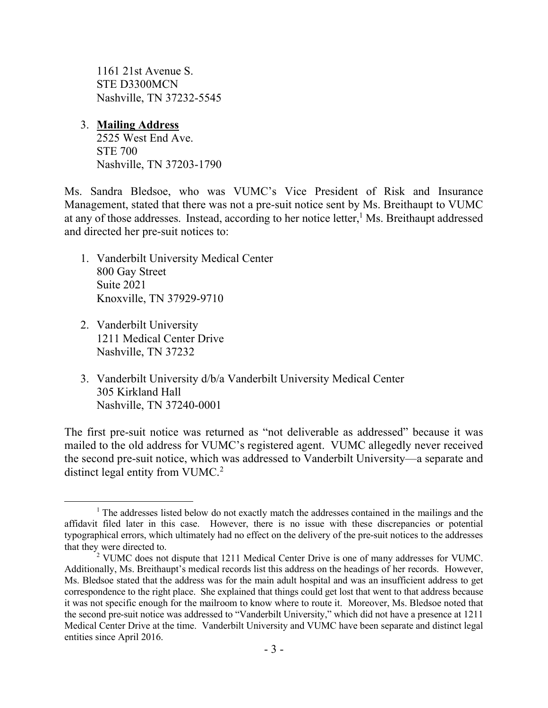1161 21st Avenue S. STE D3300MCN Nashville, TN 37232-5545

# 3. **Mailing Address**

2525 West End Ave. STE 700 Nashville, TN 37203-1790

Ms. Sandra Bledsoe, who was VUMC's Vice President of Risk and Insurance Management, stated that there was not a pre-suit notice sent by Ms. Breithaupt to VUMC at any of those addresses. Instead, according to her notice letter,<sup>1</sup> Ms. Breithaupt addressed and directed her pre-suit notices to:

- 1. Vanderbilt University Medical Center 800 Gay Street Suite 2021 Knoxville, TN 37929-9710
- 2. Vanderbilt University 1211 Medical Center Drive Nashville, TN 37232

 $\overline{a}$ 

3. Vanderbilt University d/b/a Vanderbilt University Medical Center 305 Kirkland Hall Nashville, TN 37240-0001

The first pre-suit notice was returned as "not deliverable as addressed" because it was mailed to the old address for VUMC's registered agent. VUMC allegedly never received the second pre-suit notice, which was addressed to Vanderbilt University—a separate and distinct legal entity from VUMC.<sup>2</sup>

<sup>&</sup>lt;sup>1</sup> The addresses listed below do not exactly match the addresses contained in the mailings and the affidavit filed later in this case. However, there is no issue with these discrepancies or potential typographical errors, which ultimately had no effect on the delivery of the pre-suit notices to the addresses that they were directed to.

<sup>2</sup> VUMC does not dispute that 1211 Medical Center Drive is one of many addresses for VUMC. Additionally, Ms. Breithaupt's medical records list this address on the headings of her records. However, Ms. Bledsoe stated that the address was for the main adult hospital and was an insufficient address to get correspondence to the right place. She explained that things could get lost that went to that address because it was not specific enough for the mailroom to know where to route it. Moreover, Ms. Bledsoe noted that the second pre-suit notice was addressed to "Vanderbilt University," which did not have a presence at 1211 Medical Center Drive at the time. Vanderbilt University and VUMC have been separate and distinct legal entities since April 2016.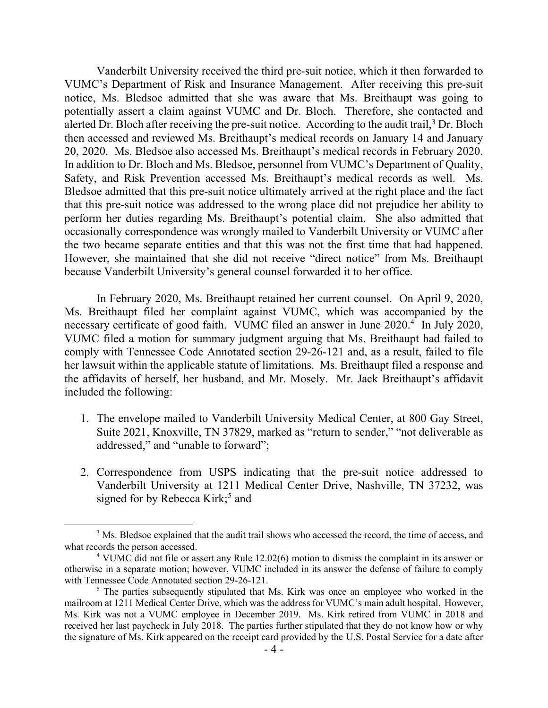Vanderbilt University received the third pre-suit notice, which it then forwarded to VUMC's Department of Risk and Insurance Management. After receiving this pre-suit notice, Ms. Bledsoe admitted that she was aware that Ms. Breithaupt was going to potentially assert a claim against VUMC and Dr. Bloch. Therefore, she contacted and alerted Dr. Bloch after receiving the pre-suit notice. According to the audit trail,<sup>3</sup> Dr. Bloch then accessed and reviewed Ms. Breithaupt's medical records on January 14 and January 20, 2020. Ms. Bledsoe also accessed Ms. Breithaupt's medical records in February 2020. In addition to Dr. Bloch and Ms. Bledsoe, personnel from VUMC's Department of Quality, Safety, and Risk Prevention accessed Ms. Breithaupt's medical records as well. Ms. Bledsoe admitted that this pre-suit notice ultimately arrived at the right place and the fact that this pre-suit notice was addressed to the wrong place did not prejudice her ability to perform her duties regarding Ms. Breithaupt's potential claim. She also admitted that occasionally correspondence was wrongly mailed to Vanderbilt University or VUMC after the two became separate entities and that this was not the first time that had happened. However, she maintained that she did not receive "direct notice" from Ms. Breithaupt because Vanderbilt University's general counsel forwarded it to her office.

In February 2020, Ms. Breithaupt retained her current counsel. On April 9, 2020, Ms. Breithaupt filed her complaint against VUMC, which was accompanied by the necessary certificate of good faith. VUMC filed an answer in June 2020.<sup>4</sup> In July 2020, VUMC filed a motion for summary judgment arguing that Ms. Breithaupt had failed to comply with Tennessee Code Annotated section 29-26-121 and, as a result, failed to file her lawsuit within the applicable statute of limitations. Ms. Breithaupt filed a response and the affidavits of herself, her husband, and Mr. Mosely. Mr. Jack Breithaupt's affidavit included the following:

- 1. The envelope mailed to Vanderbilt University Medical Center, at 800 Gay Street, Suite 2021, Knoxville, TN 37829, marked as "return to sender," "not deliverable as addressed," and "unable to forward";
- 2. Correspondence from USPS indicating that the pre-suit notice addressed to Vanderbilt University at 1211 Medical Center Drive, Nashville, TN 37232, was signed for by Rebecca Kirk;<sup>5</sup> and

 $\overline{a}$ 

<sup>&</sup>lt;sup>3</sup> Ms. Bledsoe explained that the audit trail shows who accessed the record, the time of access, and what records the person accessed.

<sup>4</sup> VUMC did not file or assert any Rule 12.02(6) motion to dismiss the complaint in its answer or otherwise in a separate motion; however, VUMC included in its answer the defense of failure to comply with Tennessee Code Annotated section 29-26-121.

<sup>&</sup>lt;sup>5</sup> The parties subsequently stipulated that Ms. Kirk was once an employee who worked in the mailroom at 1211 Medical Center Drive, which was the address for VUMC's main adult hospital. However, Ms. Kirk was not a VUMC employee in December 2019. Ms. Kirk retired from VUMC in 2018 and received her last paycheck in July 2018. The parties further stipulated that they do not know how or why the signature of Ms. Kirk appeared on the receipt card provided by the U.S. Postal Service for a date after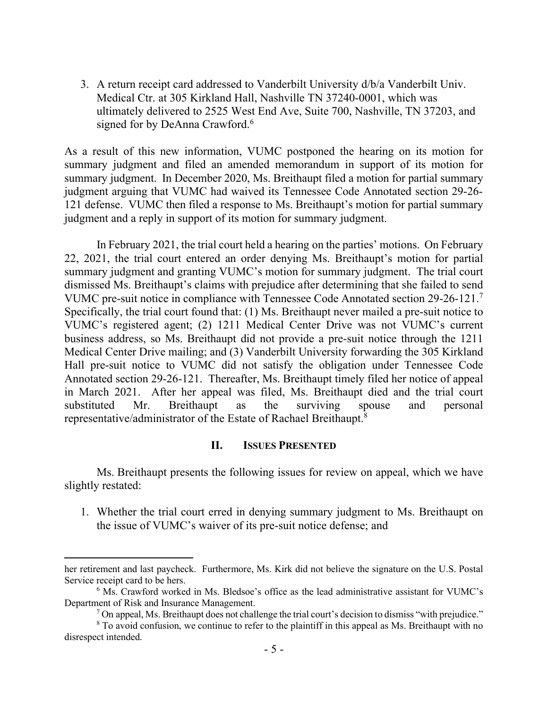3. A return receipt card addressed to Vanderbilt University d/b/a Vanderbilt Univ. Medical Ctr. at 305 Kirkland Hall, Nashville TN 37240-0001, which was ultimately delivered to 2525 West End Ave, Suite 700, Nashville, TN 37203, and signed for by DeAnna Crawford.<sup>6</sup>

As a result of this new information, VUMC postponed the hearing on its motion for summary judgment and filed an amended memorandum in support of its motion for summary judgment. In December 2020, Ms. Breithaupt filed a motion for partial summary judgment arguing that VUMC had waived its Tennessee Code Annotated section 29-26- 121 defense. VUMC then filed a response to Ms. Breithaupt's motion for partial summary judgment and a reply in support of its motion for summary judgment.

In February 2021, the trial court held a hearing on the parties' motions. On February 22, 2021, the trial court entered an order denying Ms. Breithaupt's motion for partial summary judgment and granting VUMC's motion for summary judgment. The trial court dismissed Ms. Breithaupt's claims with prejudice after determining that she failed to send VUMC pre-suit notice in compliance with Tennessee Code Annotated section 29-26-121. 7 Specifically, the trial court found that: (1) Ms. Breithaupt never mailed a pre-suit notice to VUMC's registered agent; (2) 1211 Medical Center Drive was not VUMC's current business address, so Ms. Breithaupt did not provide a pre-suit notice through the 1211 Medical Center Drive mailing; and (3) Vanderbilt University forwarding the 305 Kirkland Hall pre-suit notice to VUMC did not satisfy the obligation under Tennessee Code Annotated section 29-26-121. Thereafter, Ms. Breithaupt timely filed her notice of appeal in March 2021. After her appeal was filed, Ms. Breithaupt died and the trial court substituted Mr. Breithaupt as the surviving spouse and personal representative/administrator of the Estate of Rachael Breithaupt.<sup>8</sup>

#### **II. ISSUES PRESENTED**

Ms. Breithaupt presents the following issues for review on appeal, which we have slightly restated:

1. Whether the trial court erred in denying summary judgment to Ms. Breithaupt on the issue of VUMC's waiver of its pre-suit notice defense; and

her retirement and last paycheck. Furthermore, Ms. Kirk did not believe the signature on the U.S. Postal Service receipt card to be hers.

 $6$  Ms. Crawford worked in Ms. Bledsoe's office as the lead administrative assistant for VUMC's Department of Risk and Insurance Management.

 $<sup>7</sup>$  On appeal, Ms. Breithaupt does not challenge the trial court's decision to dismiss "with prejudice."</sup>

<sup>&</sup>lt;sup>8</sup> To avoid confusion, we continue to refer to the plaintiff in this appeal as Ms. Breithaupt with no disrespect intended.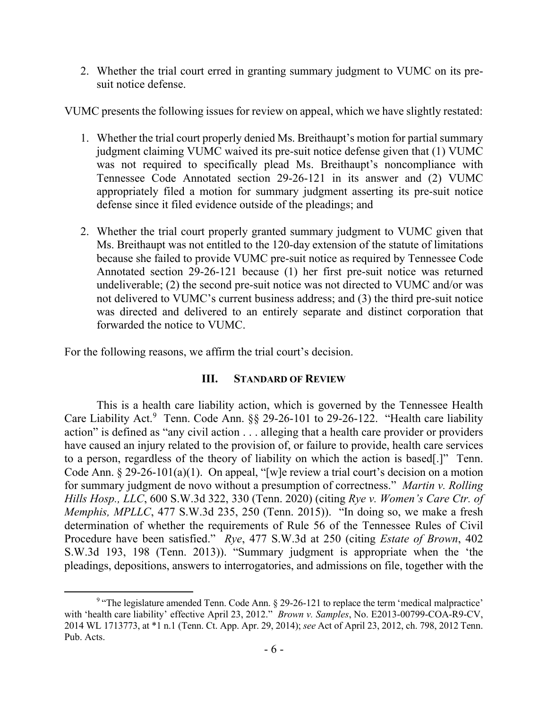2. Whether the trial court erred in granting summary judgment to VUMC on its presuit notice defense.

VUMC presents the following issues for review on appeal, which we have slightly restated:

- 1. Whether the trial court properly denied Ms. Breithaupt's motion for partial summary judgment claiming VUMC waived its pre-suit notice defense given that (1) VUMC was not required to specifically plead Ms. Breithaupt's noncompliance with Tennessee Code Annotated section 29-26-121 in its answer and (2) VUMC appropriately filed a motion for summary judgment asserting its pre-suit notice defense since it filed evidence outside of the pleadings; and
- 2. Whether the trial court properly granted summary judgment to VUMC given that Ms. Breithaupt was not entitled to the 120-day extension of the statute of limitations because she failed to provide VUMC pre-suit notice as required by Tennessee Code Annotated section 29-26-121 because (1) her first pre-suit notice was returned undeliverable; (2) the second pre-suit notice was not directed to VUMC and/or was not delivered to VUMC's current business address; and (3) the third pre-suit notice was directed and delivered to an entirely separate and distinct corporation that forwarded the notice to VUMC.

For the following reasons, we affirm the trial court's decision.

## **III. STANDARD OF REVIEW**

This is a health care liability action, which is governed by the Tennessee Health Care Liability Act.<sup>9</sup> Tenn. Code Ann. §§ 29-26-101 to 29-26-122. "Health care liability action" is defined as "any civil action . . . alleging that a health care provider or providers have caused an injury related to the provision of, or failure to provide, health care services to a person, regardless of the theory of liability on which the action is based[.]" Tenn. Code Ann. § 29-26-101(a)(1). On appeal, "[w]e review a trial court's decision on a motion for summary judgment de novo without a presumption of correctness." *Martin v. Rolling Hills Hosp., LLC*, 600 S.W.3d 322, 330 (Tenn. 2020) (citing *Rye v. Women's Care Ctr. of Memphis, MPLLC*, 477 S.W.3d 235, 250 (Tenn. 2015)). "In doing so, we make a fresh determination of whether the requirements of Rule 56 of the Tennessee Rules of Civil Procedure have been satisfied." *Rye*, 477 S.W.3d at 250 (citing *Estate of Brown*, 402 S.W.3d 193, 198 (Tenn. 2013)). "Summary judgment is appropriate when the 'the pleadings, depositions, answers to interrogatories, and admissions on file, together with the

 <sup>9</sup> "The legislature amended Tenn. Code Ann.  $\S$  29-26-121 to replace the term 'medical malpractice' with 'health care liability' effective April 23, 2012." *Brown v. Samples*, No. E2013-00799-COA-R9-CV, 2014 WL 1713773, at \*1 n.1 (Tenn. Ct. App. Apr. 29, 2014); *see* Act of April 23, 2012, ch. 798, 2012 Tenn. Pub. Acts.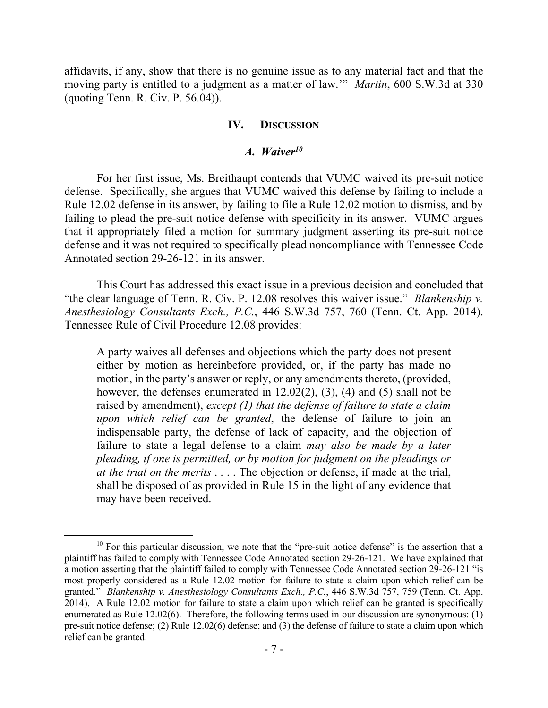affidavits, if any, show that there is no genuine issue as to any material fact and that the moving party is entitled to a judgment as a matter of law.'" *Martin*, 600 S.W.3d at 330 (quoting Tenn. R. Civ. P. 56.04)).

#### **IV. DISCUSSION**

#### *A. Waiver<sup>10</sup>*

For her first issue, Ms. Breithaupt contends that VUMC waived its pre-suit notice defense. Specifically, she argues that VUMC waived this defense by failing to include a Rule 12.02 defense in its answer, by failing to file a Rule 12.02 motion to dismiss, and by failing to plead the pre-suit notice defense with specificity in its answer. VUMC argues that it appropriately filed a motion for summary judgment asserting its pre-suit notice defense and it was not required to specifically plead noncompliance with Tennessee Code Annotated section 29-26-121 in its answer.

This Court has addressed this exact issue in a previous decision and concluded that "the clear language of Tenn. R. Civ. P. 12.08 resolves this waiver issue." *Blankenship v. Anesthesiology Consultants Exch., P.C.*, 446 S.W.3d 757, 760 (Tenn. Ct. App. 2014). Tennessee Rule of Civil Procedure 12.08 provides:

A party waives all defenses and objections which the party does not present either by motion as hereinbefore provided, or, if the party has made no motion, in the party's answer or reply, or any amendments thereto, (provided, however, the defenses enumerated in 12.02(2), (3), (4) and (5) shall not be raised by amendment), *except (1) that the defense of failure to state a claim upon which relief can be granted*, the defense of failure to join an indispensable party, the defense of lack of capacity, and the objection of failure to state a legal defense to a claim *may also be made by a later pleading, if one is permitted, or by motion for judgment on the pleadings or at the trial on the merits* . . . . The objection or defense, if made at the trial, shall be disposed of as provided in Rule 15 in the light of any evidence that may have been received.

 $\overline{a}$ 

 $10$  For this particular discussion, we note that the "pre-suit notice defense" is the assertion that a plaintiff has failed to comply with Tennessee Code Annotated section 29-26-121. We have explained that a motion asserting that the plaintiff failed to comply with Tennessee Code Annotated section 29-26-121 "is most properly considered as a Rule 12.02 motion for failure to state a claim upon which relief can be granted." *Blankenship v. Anesthesiology Consultants Exch., P.C.*, 446 S.W.3d 757, 759 (Tenn. Ct. App. 2014). A Rule 12.02 motion for failure to state a claim upon which relief can be granted is specifically enumerated as Rule 12.02(6). Therefore, the following terms used in our discussion are synonymous: (1) pre-suit notice defense; (2) Rule 12.02(6) defense; and (3) the defense of failure to state a claim upon which relief can be granted.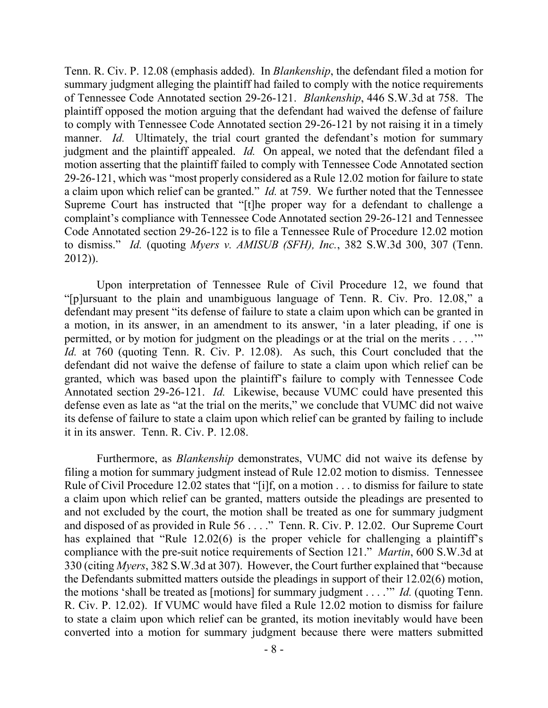Tenn. R. Civ. P. 12.08 (emphasis added). In *Blankenship*, the defendant filed a motion for summary judgment alleging the plaintiff had failed to comply with the notice requirements of Tennessee Code Annotated section 29-26-121. *Blankenship*, 446 S.W.3d at 758. The plaintiff opposed the motion arguing that the defendant had waived the defense of failure to comply with Tennessee Code Annotated section 29-26-121 by not raising it in a timely manner. *Id.* Ultimately, the trial court granted the defendant's motion for summary judgment and the plaintiff appealed. *Id.* On appeal, we noted that the defendant filed a motion asserting that the plaintiff failed to comply with Tennessee Code Annotated section 29-26-121, which was "most properly considered as a Rule 12.02 motion for failure to state a claim upon which relief can be granted." *Id.* at 759. We further noted that the Tennessee Supreme Court has instructed that "[t]he proper way for a defendant to challenge a complaint's compliance with Tennessee Code Annotated section 29-26-121 and Tennessee Code Annotated section 29-26-122 is to file a Tennessee Rule of Procedure 12.02 motion to dismiss." *Id.* (quoting *Myers v. AMISUB (SFH), Inc.*, 382 S.W.3d 300, 307 (Tenn. 2012)).

Upon interpretation of Tennessee Rule of Civil Procedure 12, we found that "[p]ursuant to the plain and unambiguous language of Tenn. R. Civ. Pro. 12.08," a defendant may present "its defense of failure to state a claim upon which can be granted in a motion, in its answer, in an amendment to its answer, 'in a later pleading, if one is permitted, or by motion for judgment on the pleadings or at the trial on the merits . . . .'" *Id.* at 760 (quoting Tenn. R. Civ. P. 12.08). As such, this Court concluded that the defendant did not waive the defense of failure to state a claim upon which relief can be granted, which was based upon the plaintiff's failure to comply with Tennessee Code Annotated section 29-26-121. *Id.* Likewise, because VUMC could have presented this defense even as late as "at the trial on the merits," we conclude that VUMC did not waive its defense of failure to state a claim upon which relief can be granted by failing to include it in its answer. Tenn. R. Civ. P. 12.08.

Furthermore, as *Blankenship* demonstrates, VUMC did not waive its defense by filing a motion for summary judgment instead of Rule 12.02 motion to dismiss. Tennessee Rule of Civil Procedure 12.02 states that "[i]f, on a motion . . . to dismiss for failure to state a claim upon which relief can be granted, matters outside the pleadings are presented to and not excluded by the court, the motion shall be treated as one for summary judgment and disposed of as provided in Rule 56 . . . ." Tenn. R. Civ. P. 12.02. Our Supreme Court has explained that "Rule 12.02(6) is the proper vehicle for challenging a plaintiff's compliance with the pre-suit notice requirements of Section 121." *Martin*, 600 S.W.3d at 330 (citing *Myers*, 382 S.W.3d at 307). However, the Court further explained that "because the Defendants submitted matters outside the pleadings in support of their 12.02(6) motion, the motions 'shall be treated as [motions] for summary judgment . . . .'" *Id.* (quoting Tenn. R. Civ. P. 12.02). If VUMC would have filed a Rule 12.02 motion to dismiss for failure to state a claim upon which relief can be granted, its motion inevitably would have been converted into a motion for summary judgment because there were matters submitted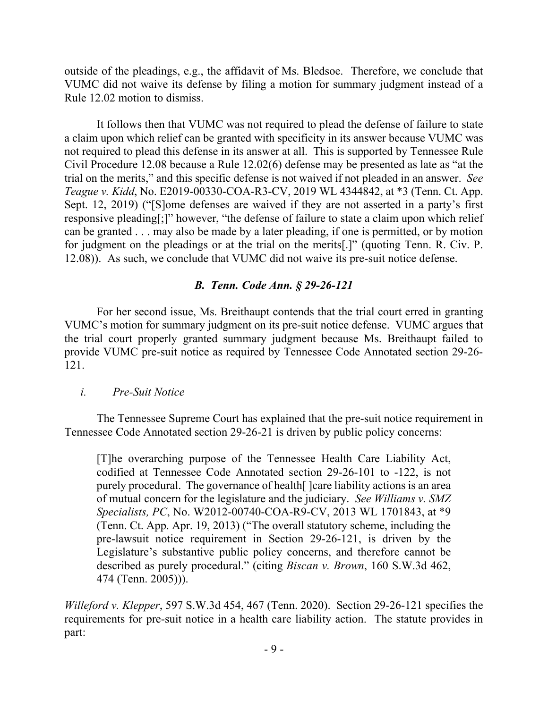outside of the pleadings, e.g., the affidavit of Ms. Bledsoe. Therefore, we conclude that VUMC did not waive its defense by filing a motion for summary judgment instead of a Rule 12.02 motion to dismiss.

It follows then that VUMC was not required to plead the defense of failure to state a claim upon which relief can be granted with specificity in its answer because VUMC was not required to plead this defense in its answer at all. This is supported by Tennessee Rule Civil Procedure 12.08 because a Rule 12.02(6) defense may be presented as late as "at the trial on the merits," and this specific defense is not waived if not pleaded in an answer. *See Teague v. Kidd*, No. E2019-00330-COA-R3-CV, 2019 WL 4344842, at \*3 (Tenn. Ct. App. Sept. 12, 2019) ("[S]ome defenses are waived if they are not asserted in a party's first responsive pleading[;]" however, "the defense of failure to state a claim upon which relief can be granted . . . may also be made by a later pleading, if one is permitted, or by motion for judgment on the pleadings or at the trial on the merits[.]" (quoting Tenn. R. Civ. P. 12.08)). As such, we conclude that VUMC did not waive its pre-suit notice defense.

# *B. Tenn. Code Ann. § 29-26-121*

For her second issue, Ms. Breithaupt contends that the trial court erred in granting VUMC's motion for summary judgment on its pre-suit notice defense. VUMC argues that the trial court properly granted summary judgment because Ms. Breithaupt failed to provide VUMC pre-suit notice as required by Tennessee Code Annotated section 29-26- 121.

## *i. Pre-Suit Notice*

The Tennessee Supreme Court has explained that the pre-suit notice requirement in Tennessee Code Annotated section 29-26-21 is driven by public policy concerns:

[T]he overarching purpose of the Tennessee Health Care Liability Act, codified at Tennessee Code Annotated section 29-26-101 to -122, is not purely procedural. The governance of health[ ]care liability actions is an area of mutual concern for the legislature and the judiciary. *See Williams v. SMZ Specialists, PC*, No. W2012-00740-COA-R9-CV, 2013 WL 1701843, at \*9 (Tenn. Ct. App. Apr. 19, 2013) ("The overall statutory scheme, including the pre-lawsuit notice requirement in Section 29-26-121, is driven by the Legislature's substantive public policy concerns, and therefore cannot be described as purely procedural." (citing *Biscan v. Brown*, 160 S.W.3d 462, 474 (Tenn. 2005))).

*Willeford v. Klepper*, 597 S.W.3d 454, 467 (Tenn. 2020). Section 29-26-121 specifies the requirements for pre-suit notice in a health care liability action. The statute provides in part: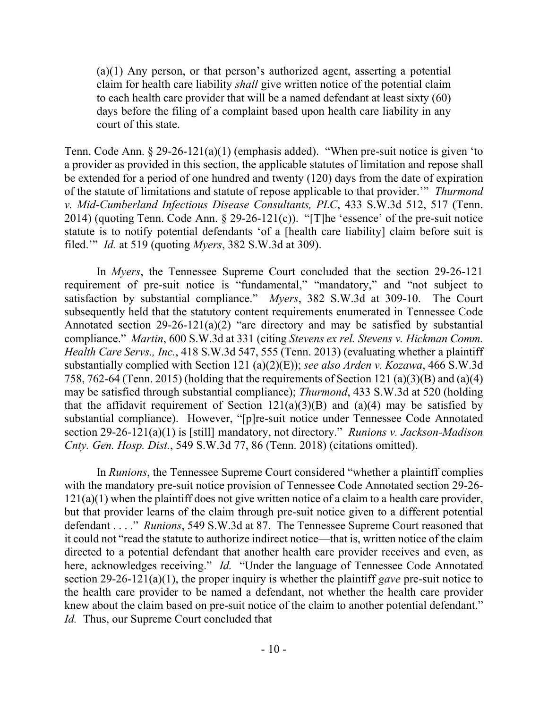(a)(1) Any person, or that person's authorized agent, asserting a potential claim for health care liability *shall* give written notice of the potential claim to each health care provider that will be a named defendant at least sixty (60) days before the filing of a complaint based upon health care liability in any court of this state.

Tenn. Code Ann. § 29-26-121(a)(1) (emphasis added). "When pre-suit notice is given 'to a provider as provided in this section, the applicable statutes of limitation and repose shall be extended for a period of one hundred and twenty (120) days from the date of expiration of the statute of limitations and statute of repose applicable to that provider.'" *Thurmond v. Mid-Cumberland Infectious Disease Consultants, PLC*, 433 S.W.3d 512, 517 (Tenn. 2014) (quoting Tenn. Code Ann. § 29-26-121(c)). "[T]he 'essence' of the pre-suit notice statute is to notify potential defendants 'of a [health care liability] claim before suit is filed.'" *Id.* at 519 (quoting *Myers*, 382 S.W.3d at 309).

In *Myers*, the Tennessee Supreme Court concluded that the section 29-26-121 requirement of pre-suit notice is "fundamental," "mandatory," and "not subject to satisfaction by substantial compliance." *Myers*, 382 S.W.3d at 309-10. The Court subsequently held that the statutory content requirements enumerated in Tennessee Code Annotated section 29-26-121(a)(2) "are directory and may be satisfied by substantial compliance." *Martin*, 600 S.W.3d at 331 (citing *Stevens ex rel. Stevens v. Hickman Comm. Health Care Servs., Inc.*, 418 S.W.3d 547, 555 (Tenn. 2013) (evaluating whether a plaintiff substantially complied with Section 121 (a)(2)(E)); *see also Arden v. Kozawa*, 466 S.W.3d 758, 762-64 (Tenn. 2015) (holding that the requirements of Section 121 (a)(3)(B) and (a)(4) may be satisfied through substantial compliance); *Thurmond*, 433 S.W.3d at 520 (holding that the affidavit requirement of Section  $121(a)(3)(B)$  and  $(a)(4)$  may be satisfied by substantial compliance). However, "[p]re-suit notice under Tennessee Code Annotated section 29-26-121(a)(1) is [still] mandatory, not directory." *Runions v. Jackson-Madison Cnty. Gen. Hosp. Dist.*, 549 S.W.3d 77, 86 (Tenn. 2018) (citations omitted).

In *Runions*, the Tennessee Supreme Court considered "whether a plaintiff complies with the mandatory pre-suit notice provision of Tennessee Code Annotated section 29-26-  $121(a)(1)$  when the plaintiff does not give written notice of a claim to a health care provider, but that provider learns of the claim through pre-suit notice given to a different potential defendant . . . ." *Runions*, 549 S.W.3d at 87. The Tennessee Supreme Court reasoned that it could not "read the statute to authorize indirect notice—that is, written notice of the claim directed to a potential defendant that another health care provider receives and even, as here, acknowledges receiving." *Id.* "Under the language of Tennessee Code Annotated section 29-26-121(a)(1), the proper inquiry is whether the plaintiff *gave* pre-suit notice to the health care provider to be named a defendant, not whether the health care provider knew about the claim based on pre-suit notice of the claim to another potential defendant." *Id.* Thus, our Supreme Court concluded that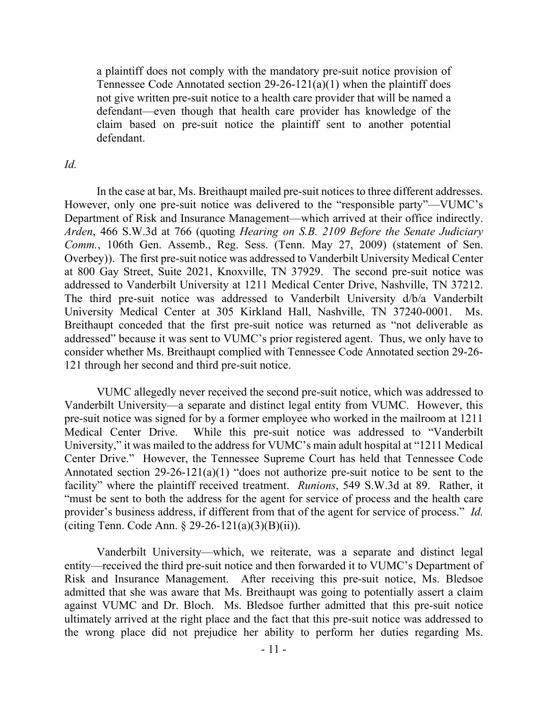a plaintiff does not comply with the mandatory pre-suit notice provision of Tennessee Code Annotated section  $29-26-121(a)(1)$  when the plaintiff does not give written pre-suit notice to a health care provider that will be named a defendant—even though that health care provider has knowledge of the claim based on pre-suit notice the plaintiff sent to another potential defendant.

## *Id.*

In the case at bar, Ms. Breithaupt mailed pre-suit notices to three different addresses. However, only one pre-suit notice was delivered to the "responsible party"—VUMC's Department of Risk and Insurance Management—which arrived at their office indirectly. *Arden*, 466 S.W.3d at 766 (quoting *Hearing on S.B. 2109 Before the Senate Judiciary Comm.*, 106th Gen. Assemb., Reg. Sess. (Tenn. May 27, 2009) (statement of Sen. Overbey)). The first pre-suit notice was addressed to Vanderbilt University Medical Center at 800 Gay Street, Suite 2021, Knoxville, TN 37929. The second pre-suit notice was addressed to Vanderbilt University at 1211 Medical Center Drive, Nashville, TN 37212. The third pre-suit notice was addressed to Vanderbilt University d/b/a Vanderbilt University Medical Center at 305 Kirkland Hall, Nashville, TN 37240-0001. Ms. Breithaupt conceded that the first pre-suit notice was returned as "not deliverable as addressed" because it was sent to VUMC's prior registered agent. Thus, we only have to consider whether Ms. Breithaupt complied with Tennessee Code Annotated section 29-26- 121 through her second and third pre-suit notice.

VUMC allegedly never received the second pre-suit notice, which was addressed to Vanderbilt University—a separate and distinct legal entity from VUMC. However, this pre-suit notice was signed for by a former employee who worked in the mailroom at 1211 Medical Center Drive. While this pre-suit notice was addressed to "Vanderbilt University," it was mailed to the address for VUMC's main adult hospital at "1211 Medical Center Drive." However, the Tennessee Supreme Court has held that Tennessee Code Annotated section  $29-26-121(a)(1)$  "does not authorize pre-suit notice to be sent to the facility" where the plaintiff received treatment. *Runions*, 549 S.W.3d at 89. Rather, it "must be sent to both the address for the agent for service of process and the health care provider's business address, if different from that of the agent for service of process." *Id.* (citing Tenn. Code Ann.  $\S 29-26-121(a)(3)(B)(ii)$ ).

Vanderbilt University—which, we reiterate, was a separate and distinct legal entity—received the third pre-suit notice and then forwarded it to VUMC's Department of Risk and Insurance Management. After receiving this pre-suit notice, Ms. Bledsoe admitted that she was aware that Ms. Breithaupt was going to potentially assert a claim against VUMC and Dr. Bloch. Ms. Bledsoe further admitted that this pre-suit notice ultimately arrived at the right place and the fact that this pre-suit notice was addressed to the wrong place did not prejudice her ability to perform her duties regarding Ms.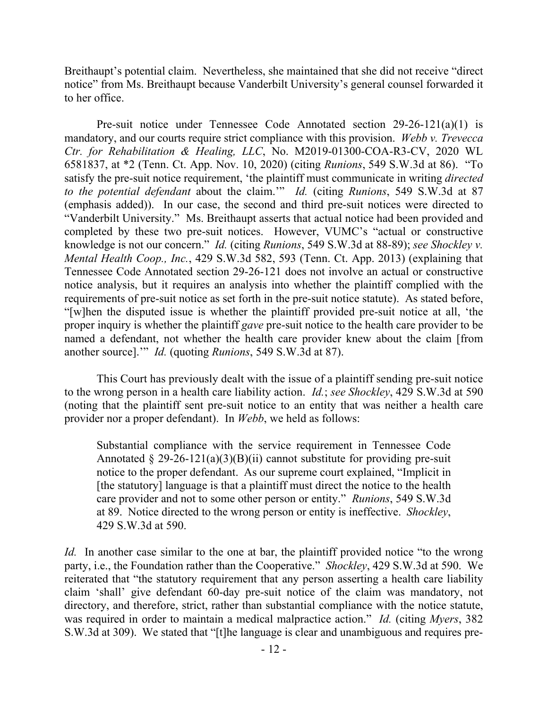Breithaupt's potential claim. Nevertheless, she maintained that she did not receive "direct notice" from Ms. Breithaupt because Vanderbilt University's general counsel forwarded it to her office.

Pre-suit notice under Tennessee Code Annotated section 29-26-121(a)(1) is mandatory, and our courts require strict compliance with this provision. *Webb v. Trevecca Ctr. for Rehabilitation & Healing, LLC*, No. M2019-01300-COA-R3-CV, 2020 WL 6581837, at \*2 (Tenn. Ct. App. Nov. 10, 2020) (citing *Runions*, 549 S.W.3d at 86). "To satisfy the pre-suit notice requirement, 'the plaintiff must communicate in writing *directed to the potential defendant* about the claim.'" *Id.* (citing *Runions*, 549 S.W.3d at 87 (emphasis added)). In our case, the second and third pre-suit notices were directed to "Vanderbilt University." Ms. Breithaupt asserts that actual notice had been provided and completed by these two pre-suit notices. However, VUMC's "actual or constructive knowledge is not our concern." *Id.* (citing *Runions*, 549 S.W.3d at 88-89); *see Shockley v. Mental Health Coop., Inc.*, 429 S.W.3d 582, 593 (Tenn. Ct. App. 2013) (explaining that Tennessee Code Annotated section 29-26-121 does not involve an actual or constructive notice analysis, but it requires an analysis into whether the plaintiff complied with the requirements of pre-suit notice as set forth in the pre-suit notice statute). As stated before, "[w]hen the disputed issue is whether the plaintiff provided pre-suit notice at all, 'the proper inquiry is whether the plaintiff *gave* pre-suit notice to the health care provider to be named a defendant, not whether the health care provider knew about the claim [from another source].'" *Id.* (quoting *Runions*, 549 S.W.3d at 87).

This Court has previously dealt with the issue of a plaintiff sending pre-suit notice to the wrong person in a health care liability action. *Id.*; *see Shockley*, 429 S.W.3d at 590 (noting that the plaintiff sent pre-suit notice to an entity that was neither a health care provider nor a proper defendant). In *Webb*, we held as follows:

Substantial compliance with the service requirement in Tennessee Code Annotated § 29-26-121(a)(3)(B)(ii) cannot substitute for providing pre-suit notice to the proper defendant. As our supreme court explained, "Implicit in [the statutory] language is that a plaintiff must direct the notice to the health care provider and not to some other person or entity." *Runions*, 549 S.W.3d at 89. Notice directed to the wrong person or entity is ineffective. *Shockley*, 429 S.W.3d at 590.

*Id.* In another case similar to the one at bar, the plaintiff provided notice "to the wrong party, i.e., the Foundation rather than the Cooperative." *Shockley*, 429 S.W.3d at 590. We reiterated that "the statutory requirement that any person asserting a health care liability claim 'shall' give defendant 60-day pre-suit notice of the claim was mandatory, not directory, and therefore, strict, rather than substantial compliance with the notice statute, was required in order to maintain a medical malpractice action." *Id.* (citing *Myers*, 382 S.W.3d at 309). We stated that "[t]he language is clear and unambiguous and requires pre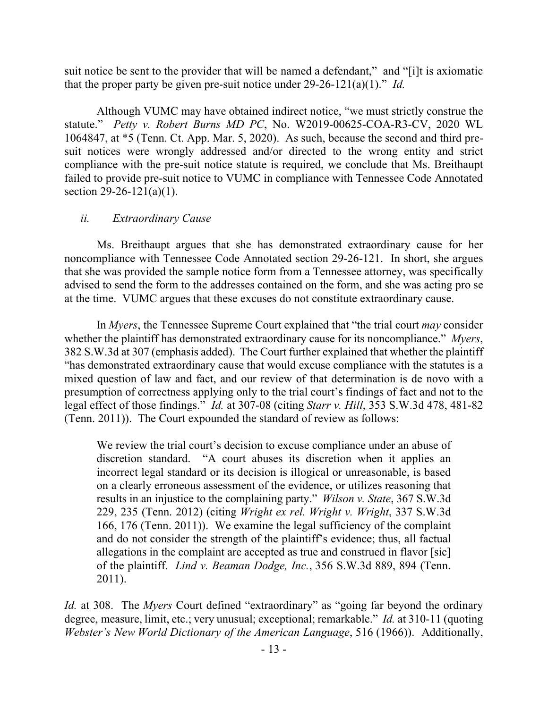suit notice be sent to the provider that will be named a defendant," and "[i]t is axiomatic that the proper party be given pre-suit notice under 29-26-121(a)(1)." *Id.*

Although VUMC may have obtained indirect notice, "we must strictly construe the statute." *Petty v. Robert Burns MD PC*, No. W2019-00625-COA-R3-CV, 2020 WL 1064847, at \*5 (Tenn. Ct. App. Mar. 5, 2020). As such, because the second and third presuit notices were wrongly addressed and/or directed to the wrong entity and strict compliance with the pre-suit notice statute is required, we conclude that Ms. Breithaupt failed to provide pre-suit notice to VUMC in compliance with Tennessee Code Annotated section  $29-26-121(a)(1)$ .

# *ii. Extraordinary Cause*

Ms. Breithaupt argues that she has demonstrated extraordinary cause for her noncompliance with Tennessee Code Annotated section 29-26-121. In short, she argues that she was provided the sample notice form from a Tennessee attorney, was specifically advised to send the form to the addresses contained on the form, and she was acting pro se at the time. VUMC argues that these excuses do not constitute extraordinary cause.

In *Myers*, the Tennessee Supreme Court explained that "the trial court *may* consider whether the plaintiff has demonstrated extraordinary cause for its noncompliance." *Myers*, 382 S.W.3d at 307 (emphasis added). The Court further explained that whether the plaintiff "has demonstrated extraordinary cause that would excuse compliance with the statutes is a mixed question of law and fact, and our review of that determination is de novo with a presumption of correctness applying only to the trial court's findings of fact and not to the legal effect of those findings." *Id.* at 307-08 (citing *Starr v. Hill*, 353 S.W.3d 478, 481-82 (Tenn. 2011)). The Court expounded the standard of review as follows:

We review the trial court's decision to excuse compliance under an abuse of discretion standard. "A court abuses its discretion when it applies an incorrect legal standard or its decision is illogical or unreasonable, is based on a clearly erroneous assessment of the evidence, or utilizes reasoning that results in an injustice to the complaining party." *Wilson v. State*, 367 S.W.3d 229, 235 (Tenn. 2012) (citing *Wright ex rel. Wright v. Wright*, 337 S.W.3d 166, 176 (Tenn. 2011)). We examine the legal sufficiency of the complaint and do not consider the strength of the plaintiff's evidence; thus, all factual allegations in the complaint are accepted as true and construed in flavor [sic] of the plaintiff. *Lind v. Beaman Dodge, Inc.*, 356 S.W.3d 889, 894 (Tenn. 2011).

*Id.* at 308. The *Myers* Court defined "extraordinary" as "going far beyond the ordinary degree, measure, limit, etc.; very unusual; exceptional; remarkable." *Id.* at 310-11 (quoting *Webster's New World Dictionary of the American Language*, 516 (1966)). Additionally,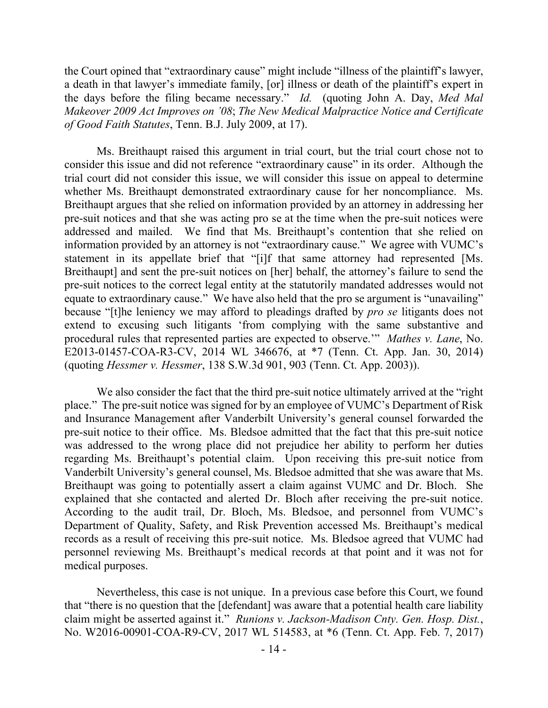the Court opined that "extraordinary cause" might include "illness of the plaintiff's lawyer, a death in that lawyer's immediate family, [or] illness or death of the plaintiff's expert in the days before the filing became necessary." *Id.* (quoting John A. Day, *Med Mal Makeover 2009 Act Improves on '08*; *The New Medical Malpractice Notice and Certificate of Good Faith Statutes*, Tenn. B.J. July 2009, at 17).

Ms. Breithaupt raised this argument in trial court, but the trial court chose not to consider this issue and did not reference "extraordinary cause" in its order. Although the trial court did not consider this issue, we will consider this issue on appeal to determine whether Ms. Breithaupt demonstrated extraordinary cause for her noncompliance. Ms. Breithaupt argues that she relied on information provided by an attorney in addressing her pre-suit notices and that she was acting pro se at the time when the pre-suit notices were addressed and mailed. We find that Ms. Breithaupt's contention that she relied on information provided by an attorney is not "extraordinary cause." We agree with VUMC's statement in its appellate brief that "[i]f that same attorney had represented [Ms. Breithaupt] and sent the pre-suit notices on [her] behalf, the attorney's failure to send the pre-suit notices to the correct legal entity at the statutorily mandated addresses would not equate to extraordinary cause." We have also held that the pro se argument is "unavailing" because "[t]he leniency we may afford to pleadings drafted by *pro se* litigants does not extend to excusing such litigants 'from complying with the same substantive and procedural rules that represented parties are expected to observe.'" *Mathes v. Lane*, No. E2013-01457-COA-R3-CV, 2014 WL 346676, at \*7 (Tenn. Ct. App. Jan. 30, 2014) (quoting *Hessmer v. Hessmer*, 138 S.W.3d 901, 903 (Tenn. Ct. App. 2003)).

We also consider the fact that the third pre-suit notice ultimately arrived at the "right place." The pre-suit notice was signed for by an employee of VUMC's Department of Risk and Insurance Management after Vanderbilt University's general counsel forwarded the pre-suit notice to their office. Ms. Bledsoe admitted that the fact that this pre-suit notice was addressed to the wrong place did not prejudice her ability to perform her duties regarding Ms. Breithaupt's potential claim. Upon receiving this pre-suit notice from Vanderbilt University's general counsel, Ms. Bledsoe admitted that she was aware that Ms. Breithaupt was going to potentially assert a claim against VUMC and Dr. Bloch. She explained that she contacted and alerted Dr. Bloch after receiving the pre-suit notice. According to the audit trail, Dr. Bloch, Ms. Bledsoe, and personnel from VUMC's Department of Quality, Safety, and Risk Prevention accessed Ms. Breithaupt's medical records as a result of receiving this pre-suit notice. Ms. Bledsoe agreed that VUMC had personnel reviewing Ms. Breithaupt's medical records at that point and it was not for medical purposes.

Nevertheless, this case is not unique. In a previous case before this Court, we found that "there is no question that the [defendant] was aware that a potential health care liability claim might be asserted against it." *Runions v. Jackson-Madison Cnty. Gen. Hosp. Dist.*, No. W2016-00901-COA-R9-CV, 2017 WL 514583, at \*6 (Tenn. Ct. App. Feb. 7, 2017)